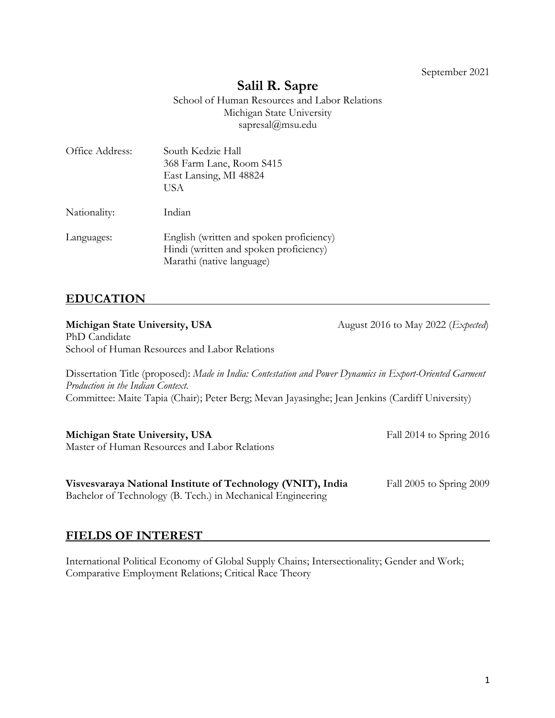1

September 2021

# **Salil R. Sapre**

School of Human Resources and Labor Relations Michigan State University sapresal@msu.edu

| Office Address: | South Kedzie Hall<br>368 Farm Lane, Room S415<br>East Lansing, MI 48824<br>USA                                  |
|-----------------|-----------------------------------------------------------------------------------------------------------------|
| Nationality:    | Indian                                                                                                          |
| Languages:      | English (written and spoken proficiency)<br>Hindi (written and spoken proficiency)<br>Marathi (native language) |

# **EDUCATION**

**Michigan State University, USA** August 2016 to May 2022 (*Expected*) PhD Candidate School of Human Resources and Labor Relations

Dissertation Title (proposed): *Made in India: Contestation and Power Dynamics in Export-Oriented Garment Production in the Indian Context*. Committee: Maite Tapia (Chair); Peter Berg; Mevan Jayasinghe; Jean Jenkins (Cardiff University)

**Michigan State University, USA** Fall 2014 to Spring 2016 Master of Human Resources and Labor Relations

| Visvesvaraya National Institute of Technology (VNIT), India | Fall 2005 to Spring 2009 |
|-------------------------------------------------------------|--------------------------|
| Bachelor of Technology (B. Tech.) in Mechanical Engineering |                          |

#### **FIELDS OF INTEREST**

International Political Economy of Global Supply Chains; Intersectionality; Gender and Work; Comparative Employment Relations; Critical Race Theory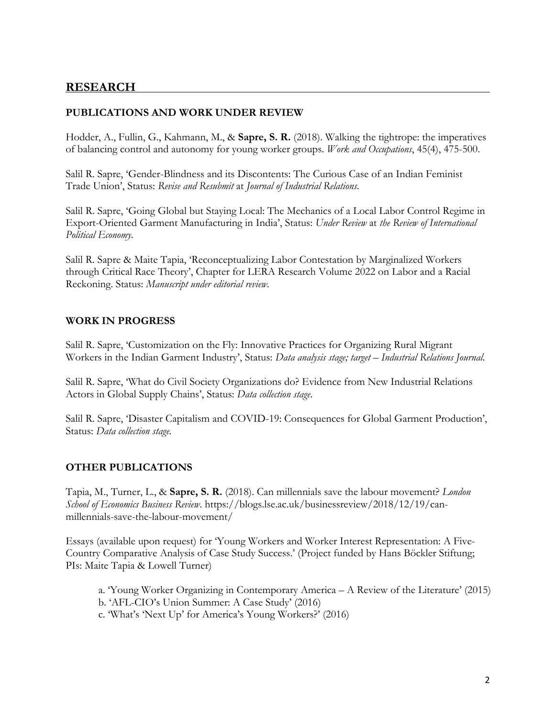### **RESEARCH**

#### **PUBLICATIONS AND WORK UNDER REVIEW**

Hodder, A., Fullin, G., Kahmann, M., & **Sapre, S. R.** (2018). Walking the tightrope: the imperatives of balancing control and autonomy for young worker groups. *Work and Occupations*, 45(4), 475-500.

Salil R. Sapre, 'Gender-Blindness and its Discontents: The Curious Case of an Indian Feminist Trade Union', Status: *Revise and Resubmit* at *Journal of Industrial Relations*.

Salil R. Sapre, 'Going Global but Staying Local: The Mechanics of a Local Labor Control Regime in Export-Oriented Garment Manufacturing in India', Status: *Under Review* at *the Review of International Political Economy*.

Salil R. Sapre & Maite Tapia, 'Reconceptualizing Labor Contestation by Marginalized Workers through Critical Race Theory', Chapter for LERA Research Volume 2022 on Labor and a Racial Reckoning. Status: *Manuscript under editorial review.*

#### **WORK IN PROGRESS**

Salil R. Sapre, 'Customization on the Fly: Innovative Practices for Organizing Rural Migrant Workers in the Indian Garment Industry', Status: *Data analysis stage; target – Industrial Relations Journal.*

Salil R. Sapre, 'What do Civil Society Organizations do? Evidence from New Industrial Relations Actors in Global Supply Chains', Status: *Data collection stage*.

Salil R. Sapre, 'Disaster Capitalism and COVID-19: Consequences for Global Garment Production', Status: *Data collection stage.*

#### **OTHER PUBLICATIONS**

Tapia, M., Turner, L., & **Sapre, S. R.** (2018). Can millennials save the labour movement? *London School of Economics Business Review*. https://blogs.lse.ac.uk/businessreview/2018/12/19/canmillennials-save-the-labour-movement/

Essays (available upon request) for 'Young Workers and Worker Interest Representation: A Five-Country Comparative Analysis of Case Study Success.' (Project funded by Hans Böckler Stiftung; PIs: Maite Tapia & Lowell Turner)

- a. 'Young Worker Organizing in Contemporary America A Review of the Literature' (2015)
- b. 'AFL-CIO's Union Summer: A Case Study' (2016)
- c. 'What's 'Next Up' for America's Young Workers?' (2016)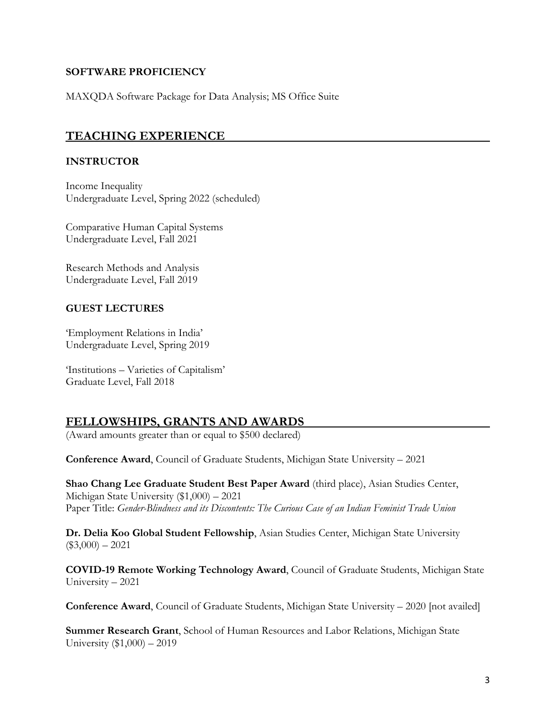#### **SOFTWARE PROFICIENCY**

MAXQDA Software Package for Data Analysis; MS Office Suite

### **TEACHING EXPERIENCE**

#### **INSTRUCTOR**

Income Inequality Undergraduate Level, Spring 2022 (scheduled)

Comparative Human Capital Systems Undergraduate Level, Fall 2021

Research Methods and Analysis Undergraduate Level, Fall 2019

#### **GUEST LECTURES**

'Employment Relations in India' Undergraduate Level, Spring 2019

'Institutions – Varieties of Capitalism' Graduate Level, Fall 2018

# **FELLOWSHIPS, GRANTS AND AWARDS**

(Award amounts greater than or equal to \$500 declared)

**Conference Award**, Council of Graduate Students, Michigan State University – 2021

**Shao Chang Lee Graduate Student Best Paper Award** (third place), Asian Studies Center, Michigan State University (\$1,000) – 2021 Paper Title: *Gender-Blindness and its Discontents: The Curious Case of an Indian Feminist Trade Union*

**Dr. Delia Koo Global Student Fellowship**, Asian Studies Center, Michigan State University  $($3,000) - 2021$ 

**COVID-19 Remote Working Technology Award**, Council of Graduate Students, Michigan State University – 2021

**Conference Award**, Council of Graduate Students, Michigan State University – 2020 [not availed]

**Summer Research Grant**, School of Human Resources and Labor Relations, Michigan State University (\$1,000) – 2019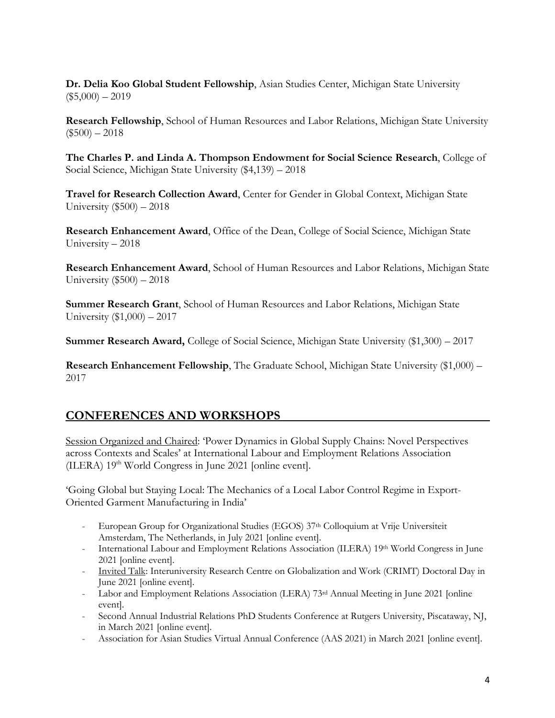**Dr. Delia Koo Global Student Fellowship**, Asian Studies Center, Michigan State University  $($5,000) - 2019$ 

**Research Fellowship**, School of Human Resources and Labor Relations, Michigan State University  $($500) - 2018$ 

**The Charles P. and Linda A. Thompson Endowment for Social Science Research**, College of Social Science, Michigan State University (\$4,139) – 2018

**Travel for Research Collection Award**, Center for Gender in Global Context, Michigan State University (\$500) – 2018

**Research Enhancement Award**, Office of the Dean, College of Social Science, Michigan State University – 2018

**Research Enhancement Award**, School of Human Resources and Labor Relations, Michigan State University (\$500) – 2018

**Summer Research Grant**, School of Human Resources and Labor Relations, Michigan State University (\$1,000) – 2017

**Summer Research Award,** College of Social Science, Michigan State University (\$1,300) – 2017

**Research Enhancement Fellowship**, The Graduate School, Michigan State University (\$1,000) – 2017

### **CONFERENCES AND WORKSHOPS**

Session Organized and Chaired: 'Power Dynamics in Global Supply Chains: Novel Perspectives across Contexts and Scales' at International Labour and Employment Relations Association  $(ILERA) 19<sup>th</sup> World Congress in June 2021 [online event].$ 

'Going Global but Staying Local: The Mechanics of a Local Labor Control Regime in Export-Oriented Garment Manufacturing in India'

- European Group for Organizational Studies (EGOS) 37th Colloquium at Vrije Universiteit Amsterdam, The Netherlands, in July 2021 [online event].
- International Labour and Employment Relations Association (ILERA) 19<sup>th</sup> World Congress in June 2021 [online event].
- Invited Talk: Interuniversity Research Centre on Globalization and Work (CRIMT) Doctoral Day in June 2021 [online event].
- Labor and Employment Relations Association (LERA) 73rd Annual Meeting in June 2021 [online event].
- Second Annual Industrial Relations PhD Students Conference at Rutgers University, Piscataway, NJ, in March 2021 [online event].
- Association for Asian Studies Virtual Annual Conference (AAS 2021) in March 2021 [online event].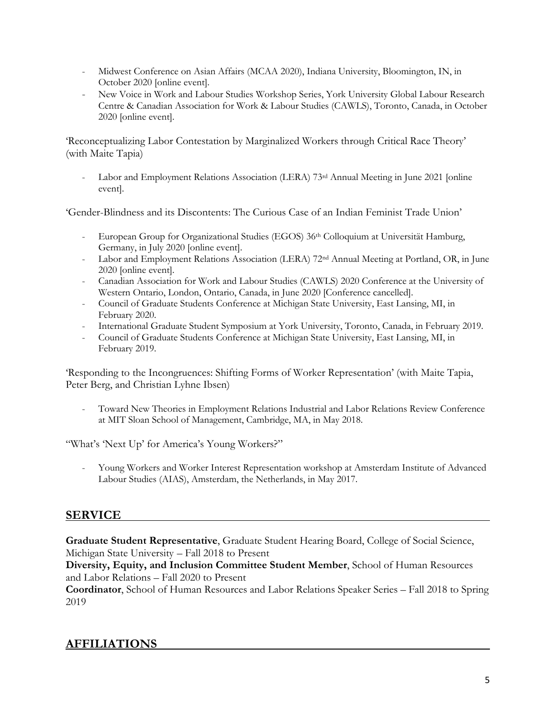- Midwest Conference on Asian Affairs (MCAA 2020), Indiana University, Bloomington, IN, in October 2020 [online event].
- New Voice in Work and Labour Studies Workshop Series, York University Global Labour Research Centre & Canadian Association for Work & Labour Studies (CAWLS), Toronto, Canada, in October 2020 [online event].

'Reconceptualizing Labor Contestation by Marginalized Workers through Critical Race Theory' (with Maite Tapia)

- Labor and Employment Relations Association (LERA) 73<sup>rd</sup> Annual Meeting in June 2021 [online event].

'Gender-Blindness and its Discontents: The Curious Case of an Indian Feminist Trade Union'

- European Group for Organizational Studies (EGOS) 36<sup>th</sup> Colloquium at Universität Hamburg, Germany, in July 2020 [online event].
- Labor and Employment Relations Association (LERA) 72nd Annual Meeting at Portland, OR, in June 2020 [online event].
- Canadian Association for Work and Labour Studies (CAWLS) 2020 Conference at the University of Western Ontario, London, Ontario, Canada, in June 2020 [Conference cancelled].
- Council of Graduate Students Conference at Michigan State University, East Lansing, MI, in February 2020.
- International Graduate Student Symposium at York University, Toronto, Canada, in February 2019.
- Council of Graduate Students Conference at Michigan State University, East Lansing, MI, in February 2019.

'Responding to the Incongruences: Shifting Forms of Worker Representation' (with Maite Tapia, Peter Berg, and Christian Lyhne Ibsen)

- Toward New Theories in Employment Relations Industrial and Labor Relations Review Conference at MIT Sloan School of Management, Cambridge, MA, in May 2018.

"What's 'Next Up' for America's Young Workers?"

- Young Workers and Worker Interest Representation workshop at Amsterdam Institute of Advanced Labour Studies (AIAS), Amsterdam, the Netherlands, in May 2017.

# **SERVICE**

**Graduate Student Representative**, Graduate Student Hearing Board, College of Social Science, Michigan State University – Fall 2018 to Present

**Diversity, Equity, and Inclusion Committee Student Member**, School of Human Resources and Labor Relations – Fall 2020 to Present

**Coordinator**, School of Human Resources and Labor Relations Speaker Series – Fall 2018 to Spring 2019

# **AFFILIATIONS**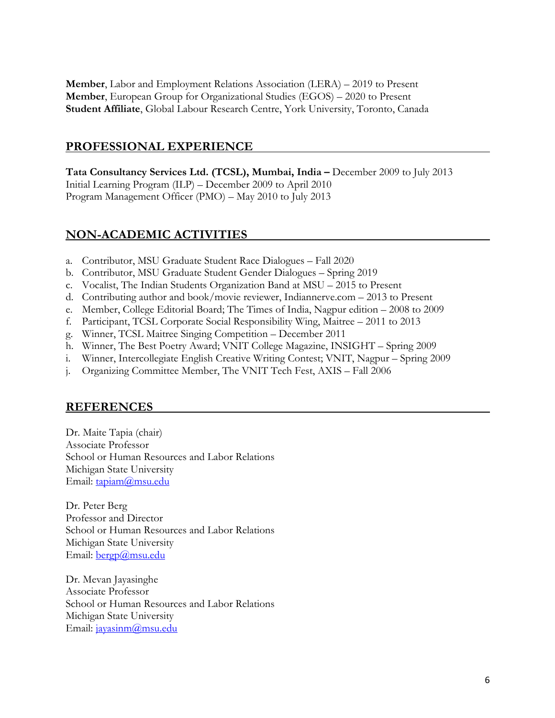**Member**, Labor and Employment Relations Association (LERA) – 2019 to Present **Member**, European Group for Organizational Studies (EGOS) – 2020 to Present **Student Affiliate**, Global Labour Research Centre, York University, Toronto, Canada

#### **PROFESSIONAL EXPERIENCE**

**Tata Consultancy Services Ltd. (TCSL), Mumbai, India –** December 2009 to July 2013 Initial Learning Program (ILP) – December 2009 to April 2010 Program Management Officer (PMO) – May 2010 to July 2013

# **NON-ACADEMIC ACTIVITIES**

- a. Contributor, MSU Graduate Student Race Dialogues Fall 2020
- b. Contributor, MSU Graduate Student Gender Dialogues Spring 2019
- c. Vocalist, The Indian Students Organization Band at MSU 2015 to Present
- d. Contributing author and book/movie reviewer, Indiannerve.com 2013 to Present
- e. Member, College Editorial Board; The Times of India, Nagpur edition 2008 to 2009
- f. Participant, TCSL Corporate Social Responsibility Wing, Maitree 2011 to 2013
- g. Winner, TCSL Maitree Singing Competition December 2011
- h. Winner, The Best Poetry Award; VNIT College Magazine, INSIGHT Spring 2009
- i. Winner, Intercollegiate English Creative Writing Contest; VNIT, Nagpur Spring 2009
- j. Organizing Committee Member, The VNIT Tech Fest, AXIS Fall 2006

### **REFERENCES**

Dr. Maite Tapia (chair) Associate Professor School or Human Resources and Labor Relations Michigan State University Email: tapiam@msu.edu

Dr. Peter Berg Professor and Director School or Human Resources and Labor Relations Michigan State University Email: bergp@msu.edu

Dr. Mevan Jayasinghe Associate Professor School or Human Resources and Labor Relations Michigan State University Email: jayasinm@msu.edu